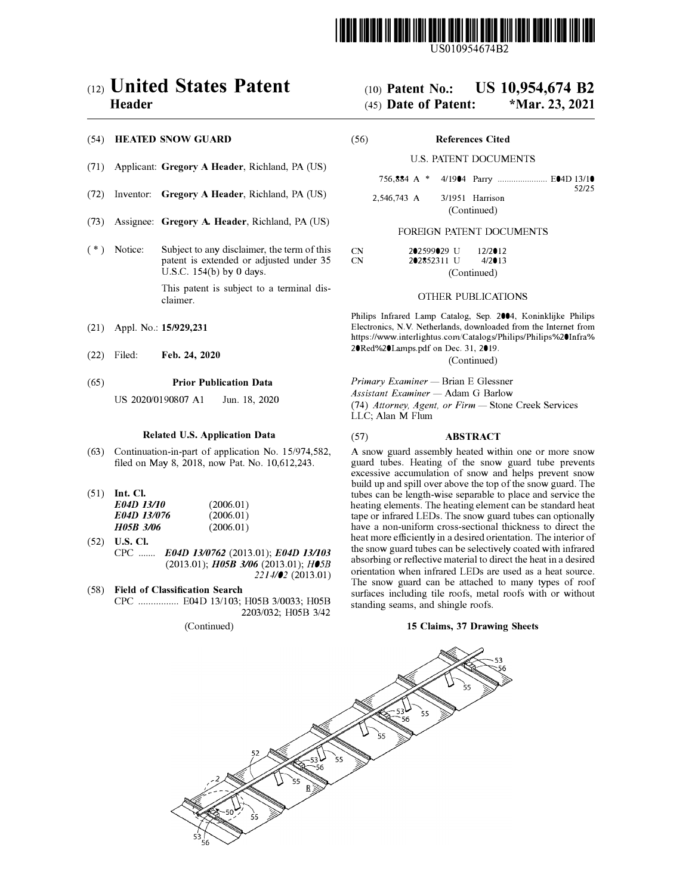

US010954674B2

# c12) **United States Patent Header**

## (54) **HEATED SNOW GUARD**

- (71) Applicant: **Gregory A Header,** Richland, PA (US)
- (72) Inventor: **Gregory A Header,** Richland, PA (US)
- (73) Assignee: **Gregory A. Header,** Richland, PA (US)
- $(*)$  Notice: Subject to any disclaimer, the term of this patent is extended or adjusted under 35 U.S.C. 154(b) by O days.

This patent is subject to a terminal disclaimer.

- (21) Appl. No.: **15/929,231**
- (22) Filed: **Feb. 24, 2020**

#### (65) **Prior Publication Data**

US 2020/0190807 Al Jun. 18, 2020

#### **Related U.S. Application Data**

- (63) Continuation-in-part of application No. 15/974,582, filed on May 8, 2018, now Pat. No. 10,612,243.
- (51) **Int. Cl.**

| E04D 13/10  | (2006.01) |
|-------------|-----------|
| E04D 13/076 | (2006.01) |
| H05B 3/06   | (2006.01) |

- (52) **U.S. Cl.**  CPC ....... *E04D 1310762* (2013.01); *E04D 13/103*  (2013.01); *H0SB 3/06* (2013.01); *H05B 2214/02* (2013.01)
- ( 58) **Field of Classification Search**  CPC ................ E04D 13/103; H05B 3/0033; H05B 2203/032; H05B 3/42

(Continued)

# (IO) **Patent No.: US 10,954,674 B2**

# (45) **Date of Patent: \*Mar. 23, 2021**

(56) **References Cited** 

#### U.S. PATENT DOCUMENTS

756,884 A \* 4/1904 Parry ...................... E04D 13/10

52/25

2,546,743 A 3/1951 Harrison (Continued)

# FOREIGN PATENT DOCUMENTS

| CN. | 202599029 II | 12/2012   |
|-----|--------------|-----------|
| CN. | 202852311 II | $4/2$ 013 |
|     | (Continued)  |           |

## OTHER PUBLICATIONS

Philips Infrared Lamp Catalog, Sep. 2004, Koninklijke Philips Electronics, N.V. Netherlands, downloaded from the Internet from https://www.interlightus.com/Catalogs/Philips/Philips%20Infra% 20Red%20Larnps.pdf on Dec. 31, 2019.

(Continued)

*Primary Examiner* - Brian E Glessner

*Assistant Examiner* - Adam G Barlow

(74) *Attorney, Agent, or Firm* - Stone Creek Services LLC; Alan M Flum

## (57) **ABSTRACT**

A snow guard assembly heated within one or more snow guard tubes. Heating of the snow guard tube prevents excessive accumulation of snow and helps prevent snow build up and spill over above the top of the snow guard. The tubes can be length-wise separable to place and service the heating elements. The heating element can be standard heat tape or infrared LEDs. The snow guard tubes can optionally have a non-uniform cross-sectional thickness to direct the heat more efficiently in a desired orientation. The interior of the snow guard tubes can be selectively coated with infrared absorbing or reflective material to direct the heat in a desired orientation when infrared LEDs are used as a heat source. The snow guard can be attached to many types of roof surfaces including tile roofs, metal roofs with or without standing seams, and shingle roofs.

# **15 Claims, 37 Drawing Sheets**

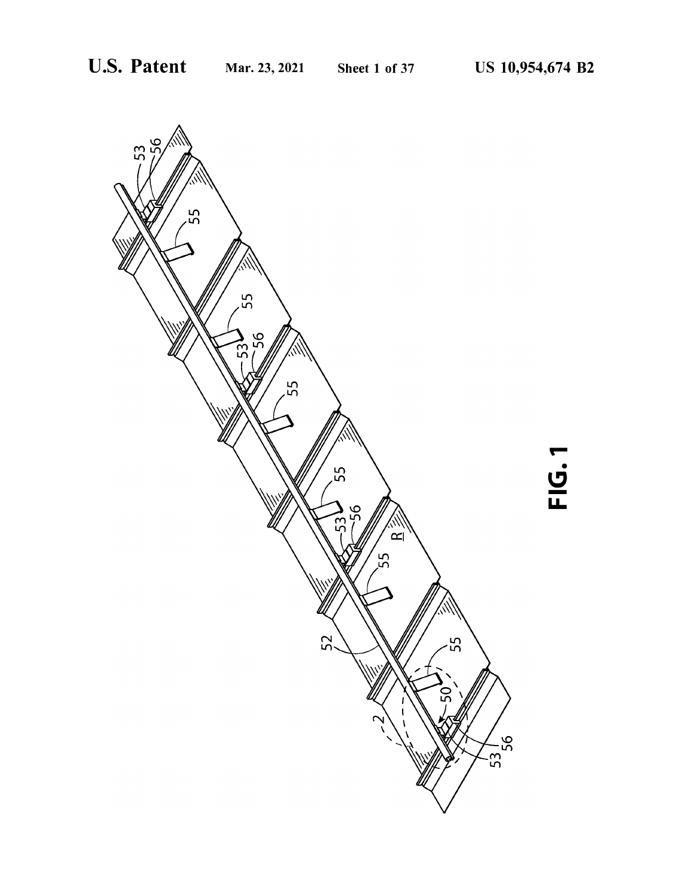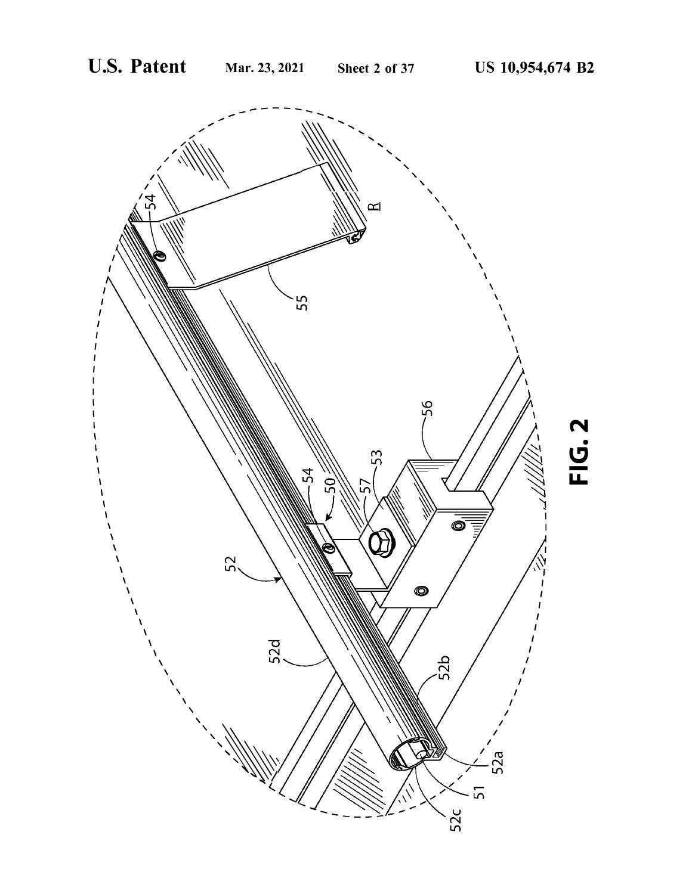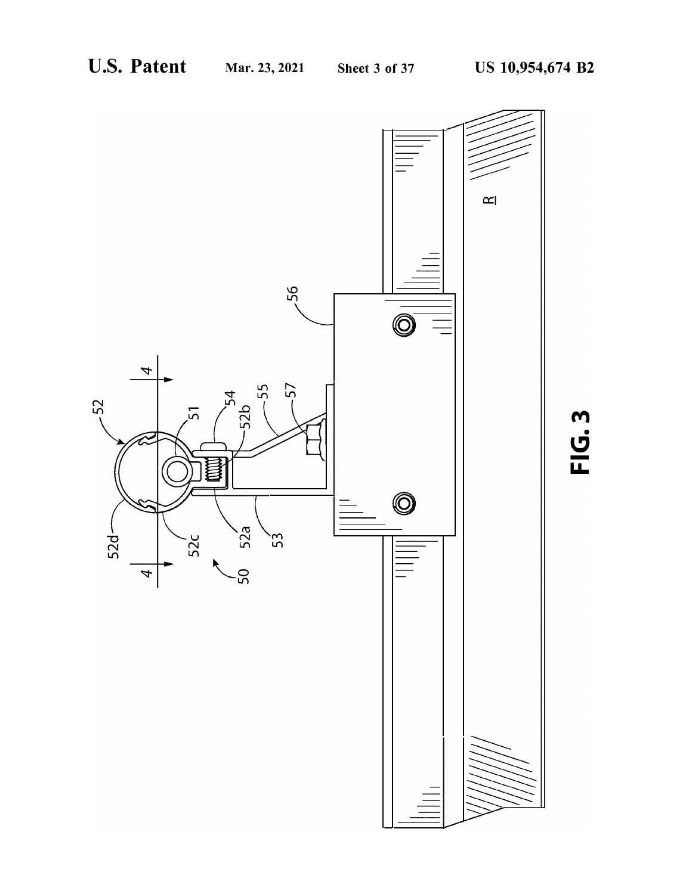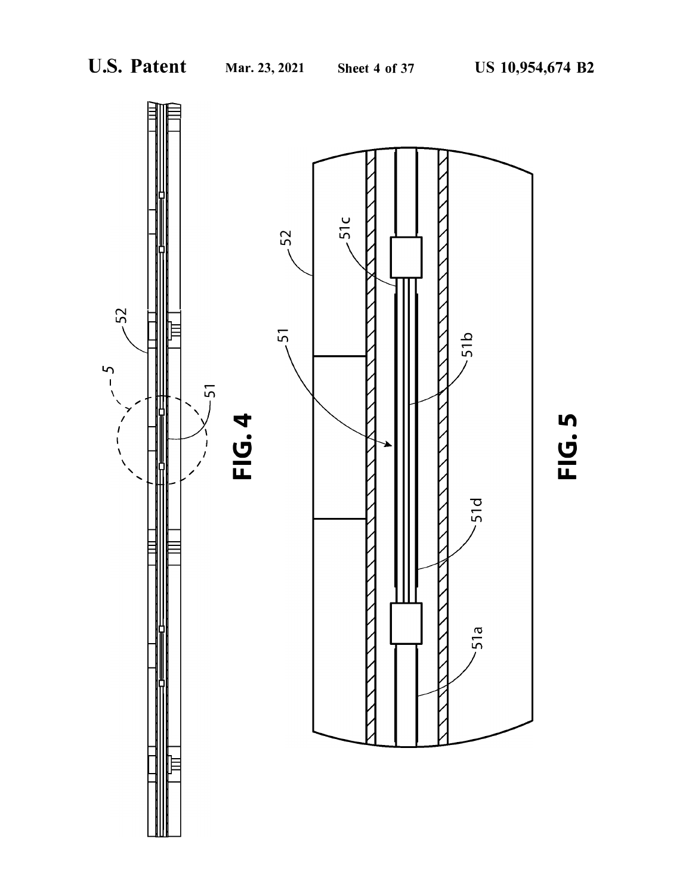

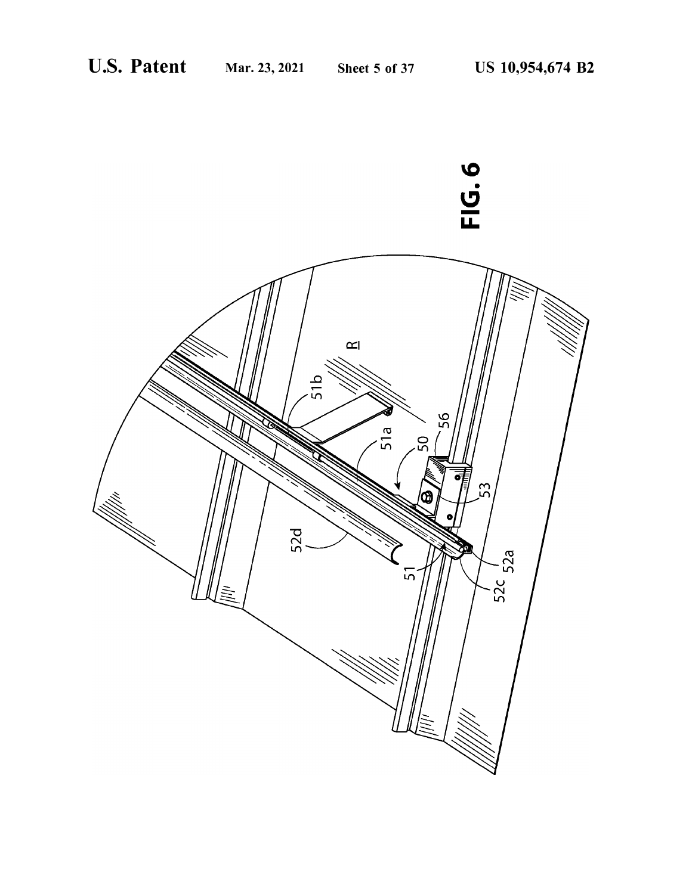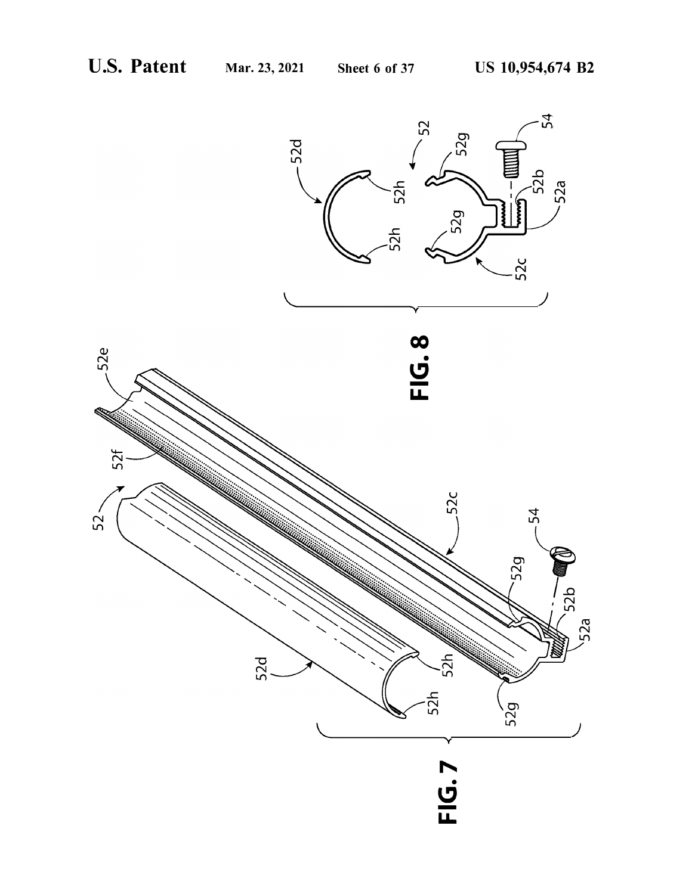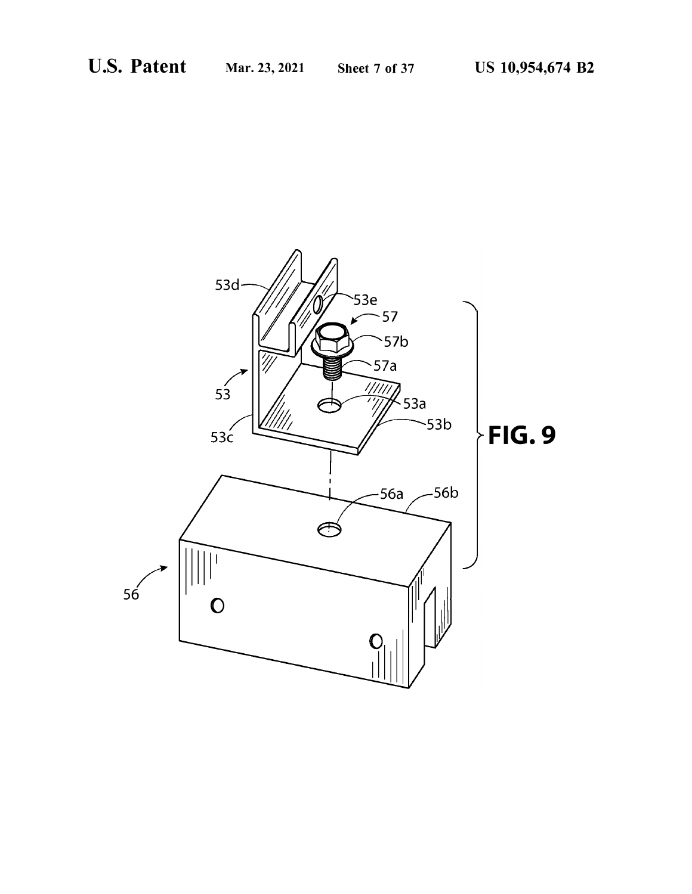![](_page_7_Picture_4.jpeg)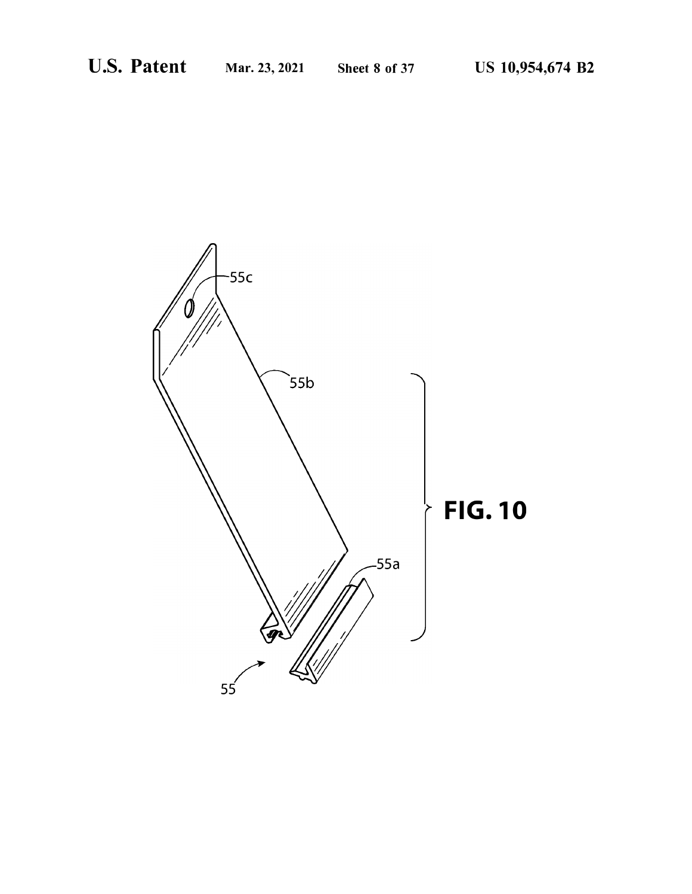![](_page_8_Picture_4.jpeg)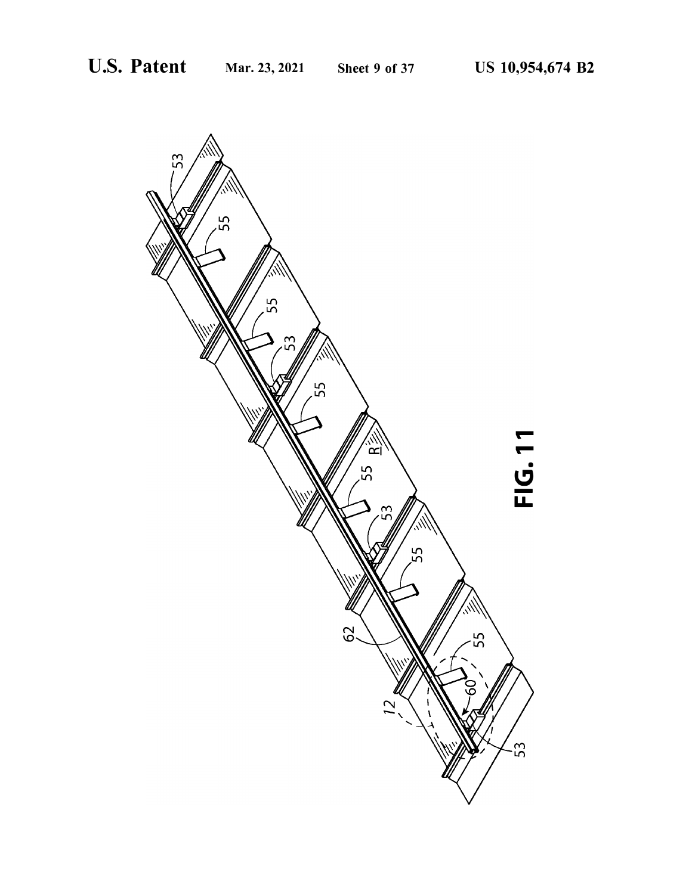![](_page_9_Picture_4.jpeg)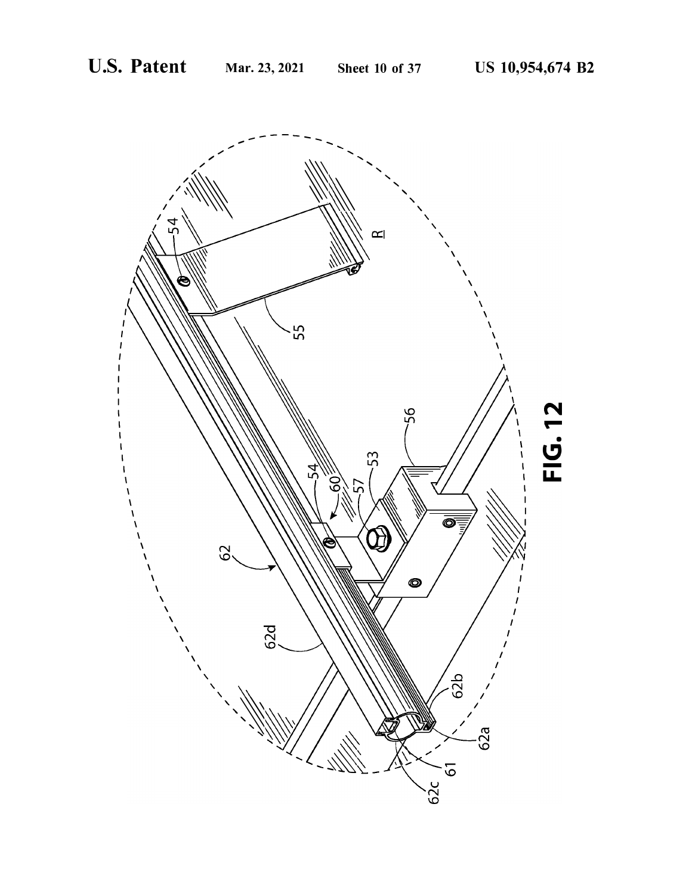![](_page_10_Picture_4.jpeg)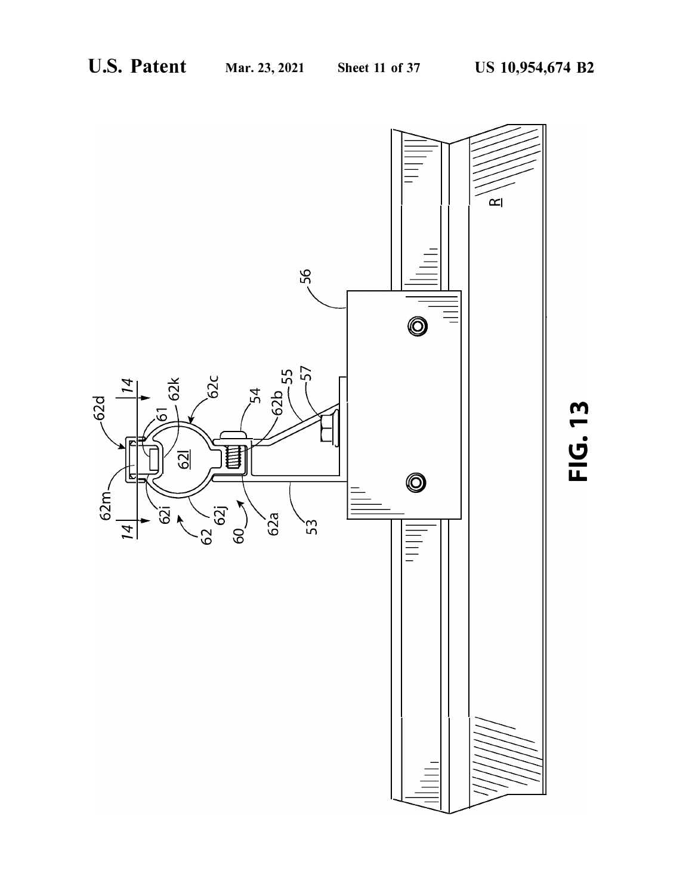![](_page_11_Figure_4.jpeg)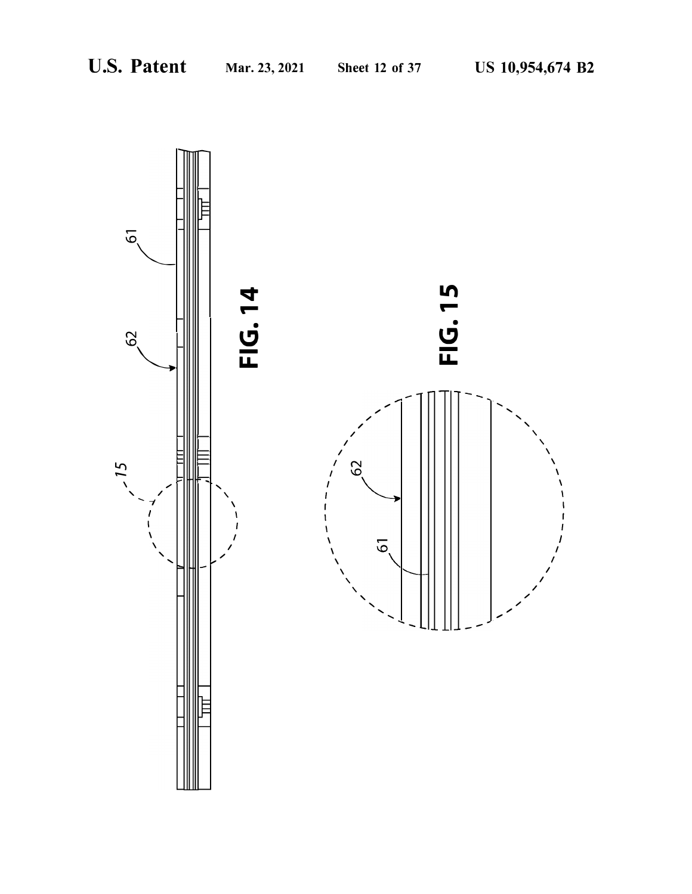![](_page_12_Figure_4.jpeg)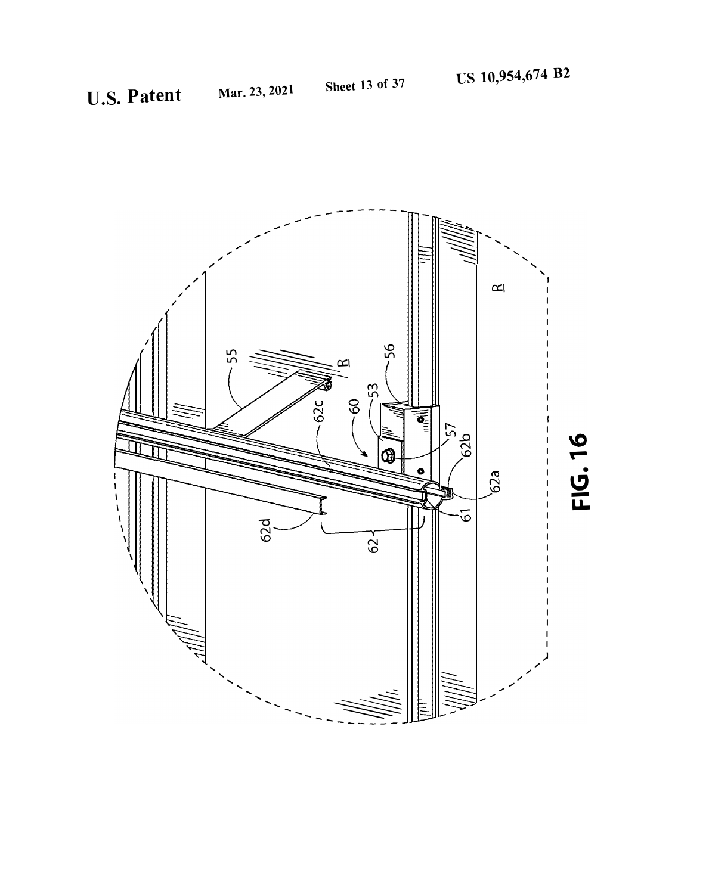![](_page_13_Picture_4.jpeg)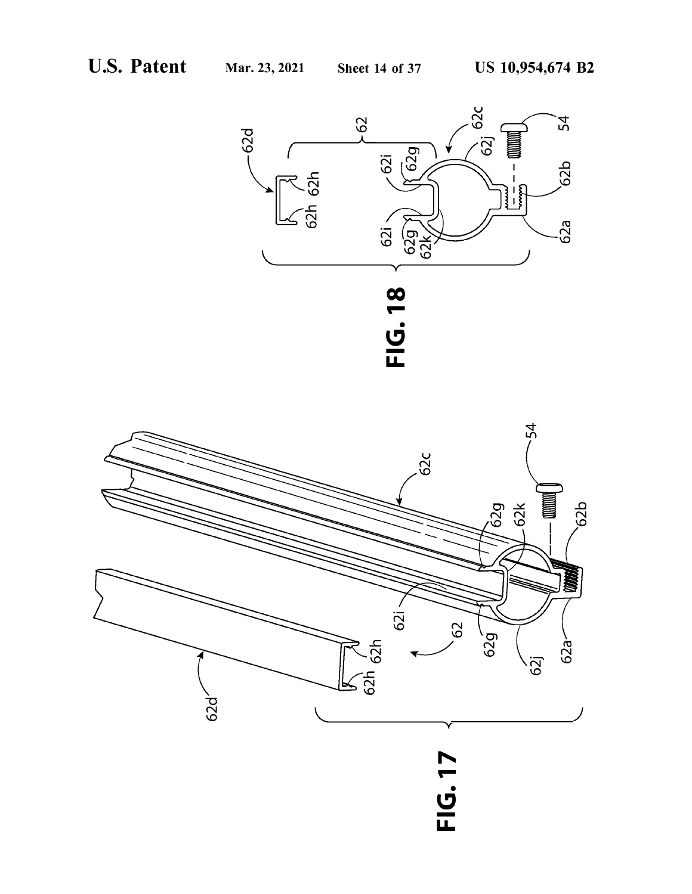![](_page_14_Figure_4.jpeg)

![](_page_14_Figure_5.jpeg)

# .<br><u>ان</u> **u.**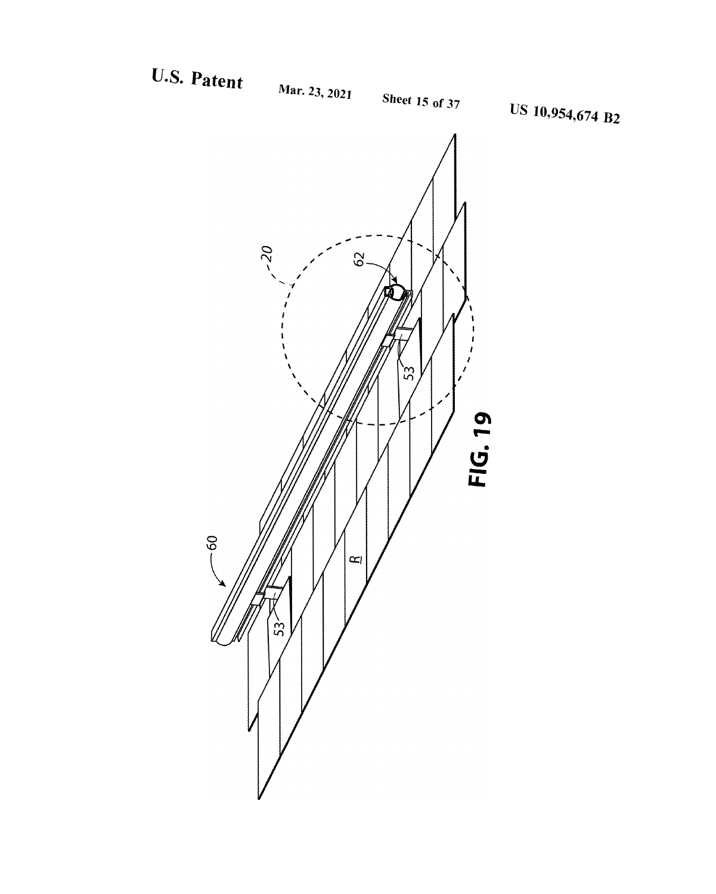U.S. Patent

![](_page_15_Figure_4.jpeg)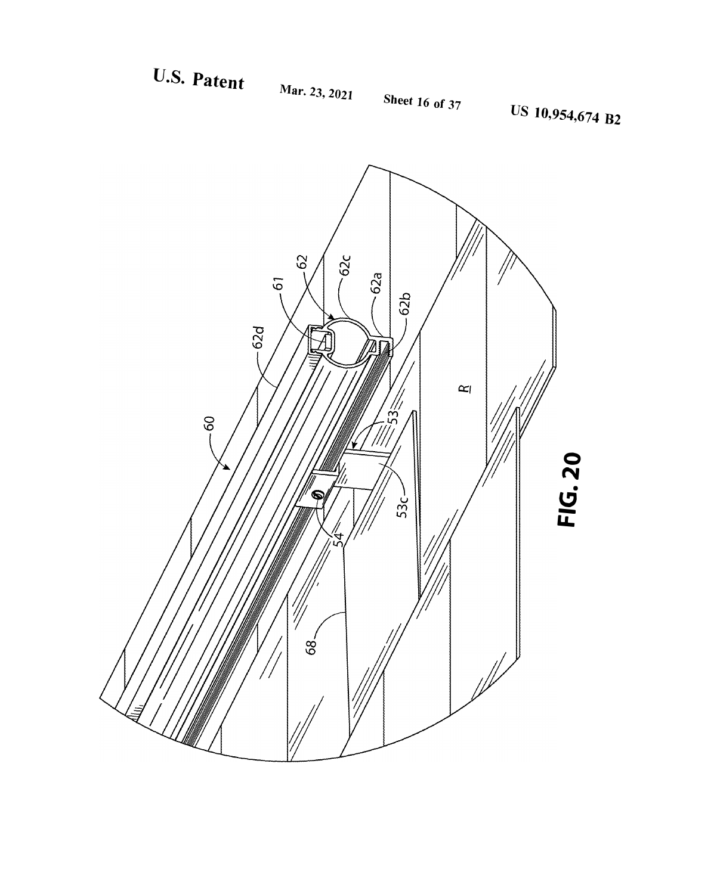U.S. Patent

![](_page_16_Figure_1.jpeg)

**Sheet 16 of 37** 

![](_page_16_Figure_4.jpeg)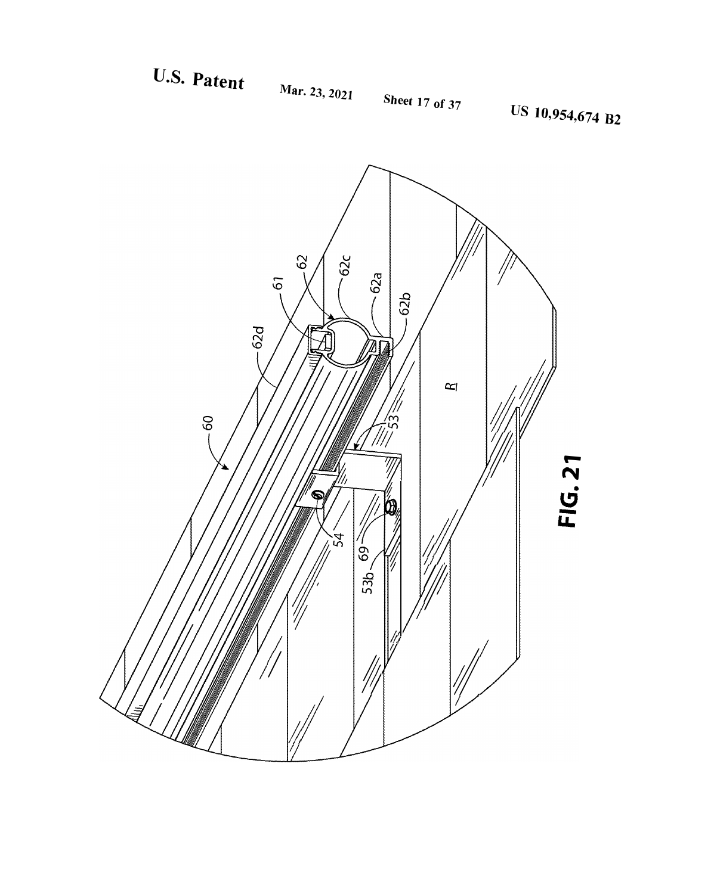U.S. Patent

![](_page_17_Figure_1.jpeg)

![](_page_17_Figure_4.jpeg)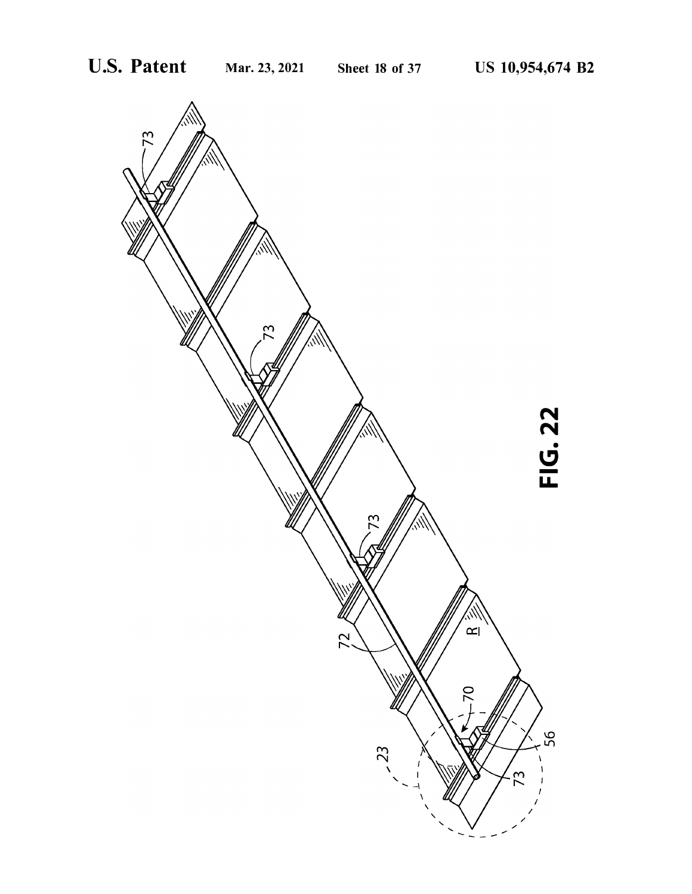![](_page_18_Figure_4.jpeg)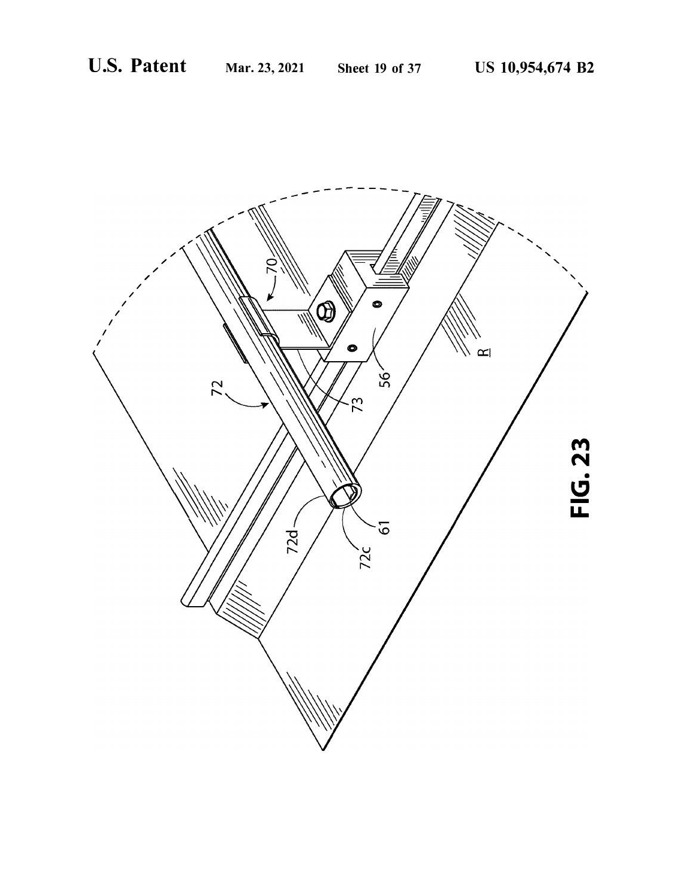![](_page_19_Picture_4.jpeg)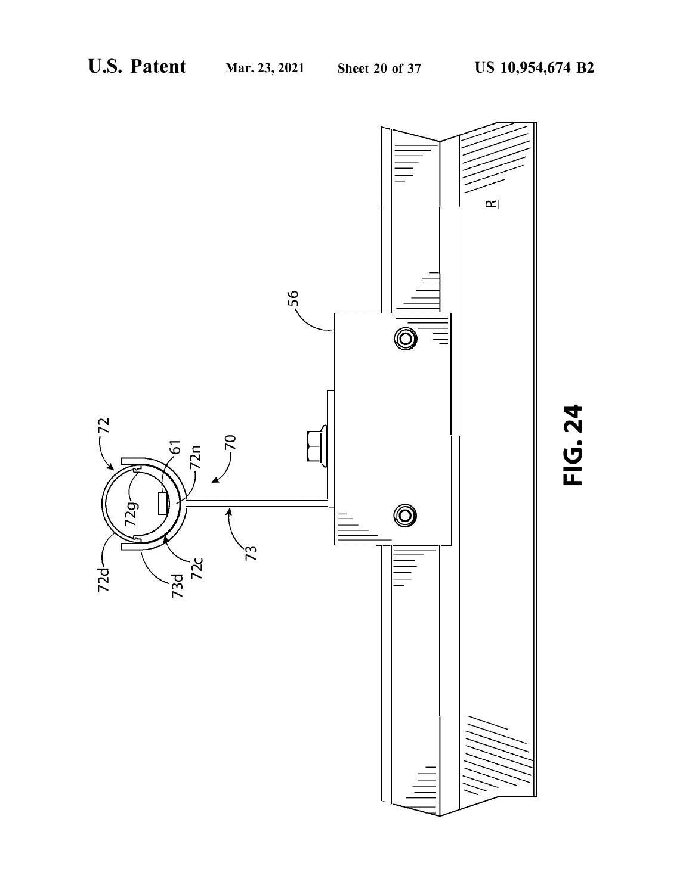![](_page_20_Figure_4.jpeg)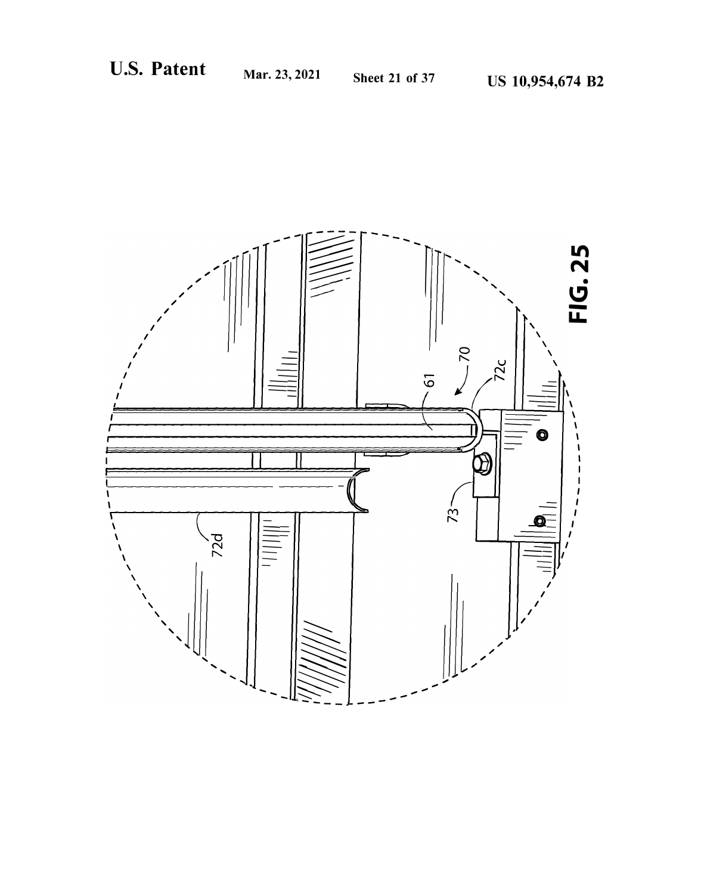![](_page_21_Picture_4.jpeg)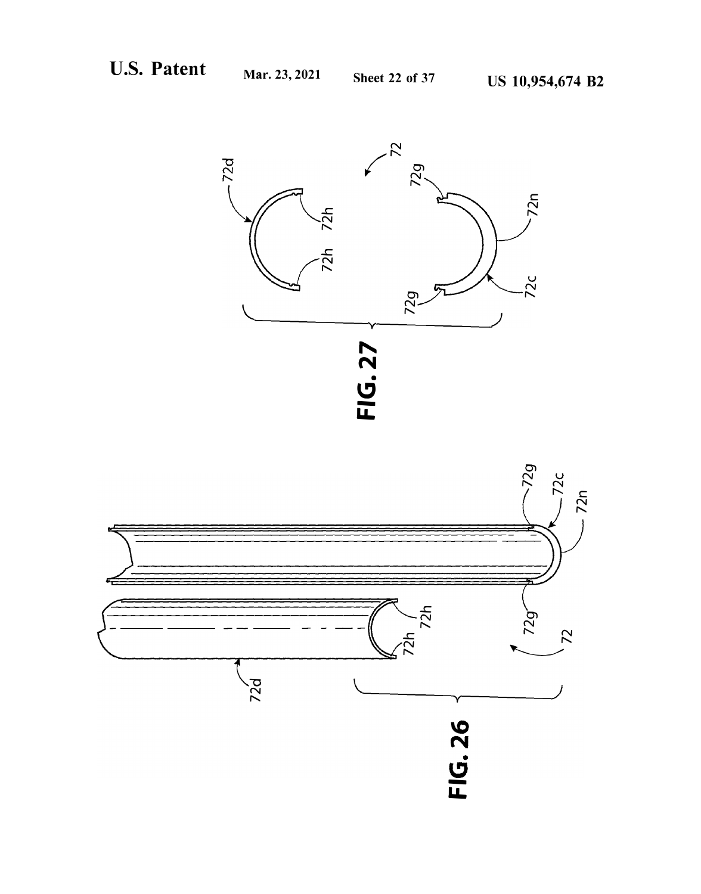![](_page_22_Figure_4.jpeg)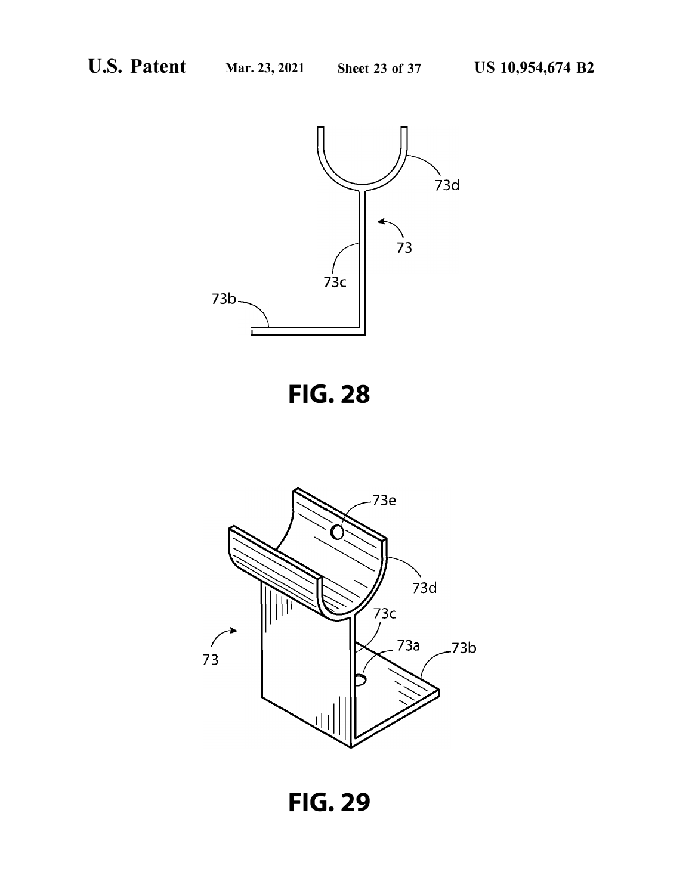![](_page_23_Figure_4.jpeg)

![](_page_23_Figure_5.jpeg)

![](_page_23_Figure_6.jpeg)

**FIG. 29**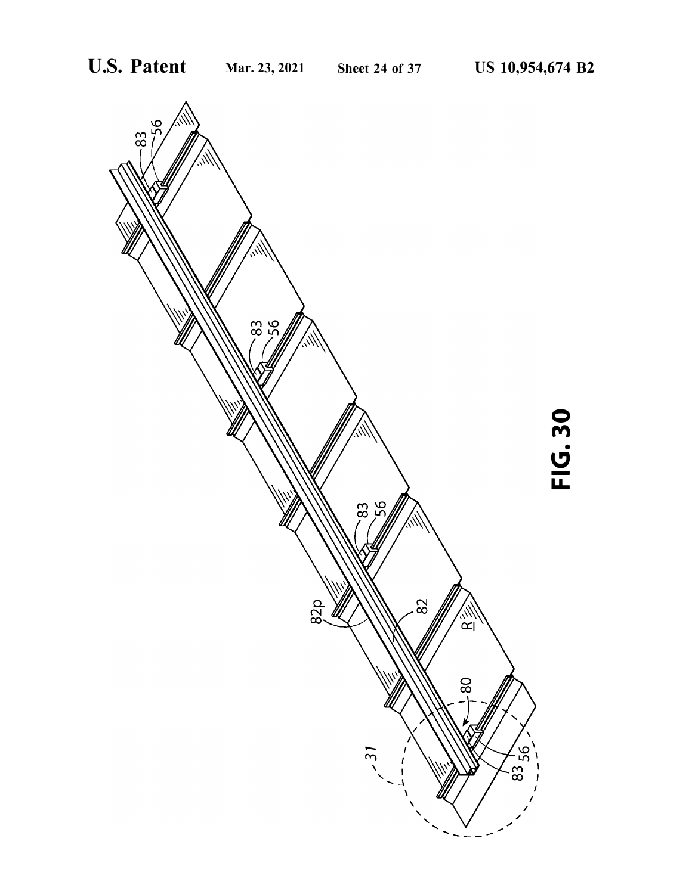![](_page_24_Figure_4.jpeg)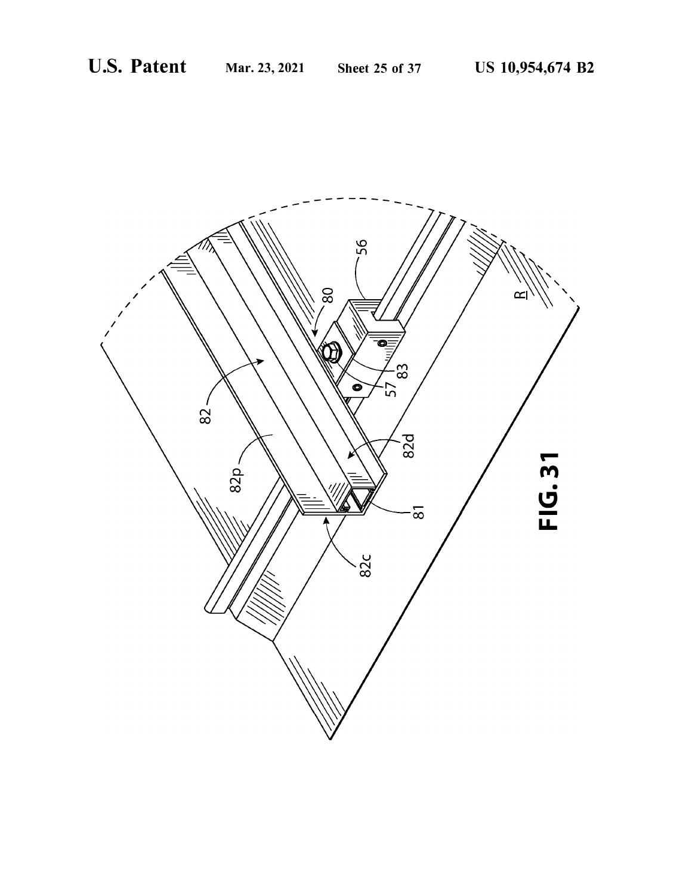![](_page_25_Picture_4.jpeg)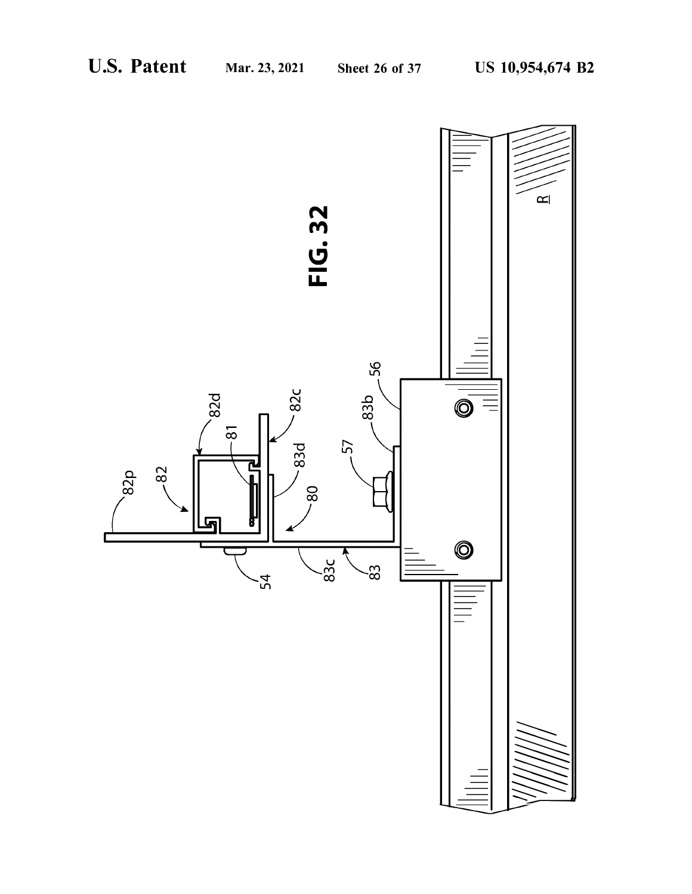![](_page_26_Figure_4.jpeg)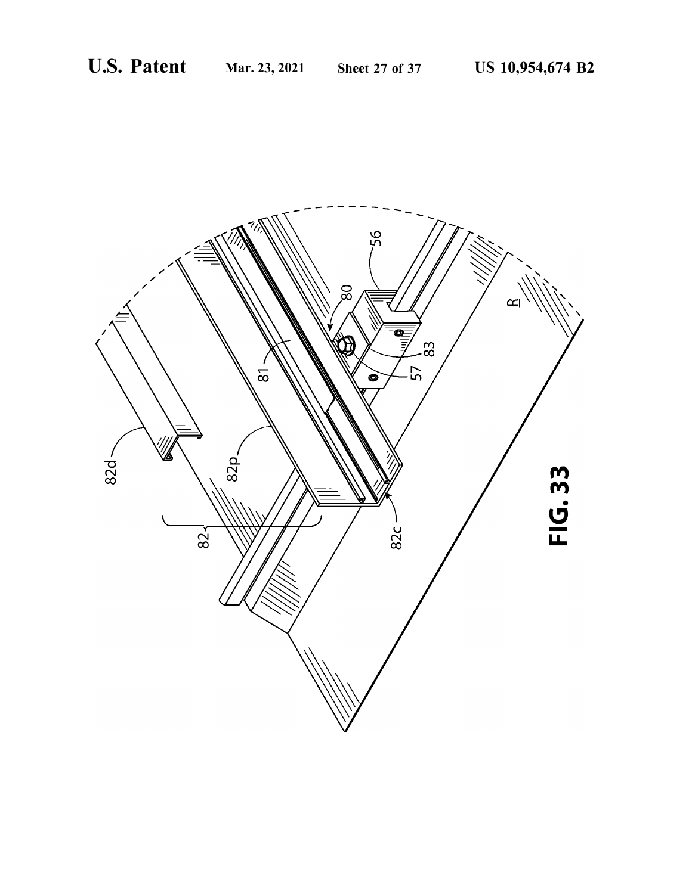![](_page_27_Picture_4.jpeg)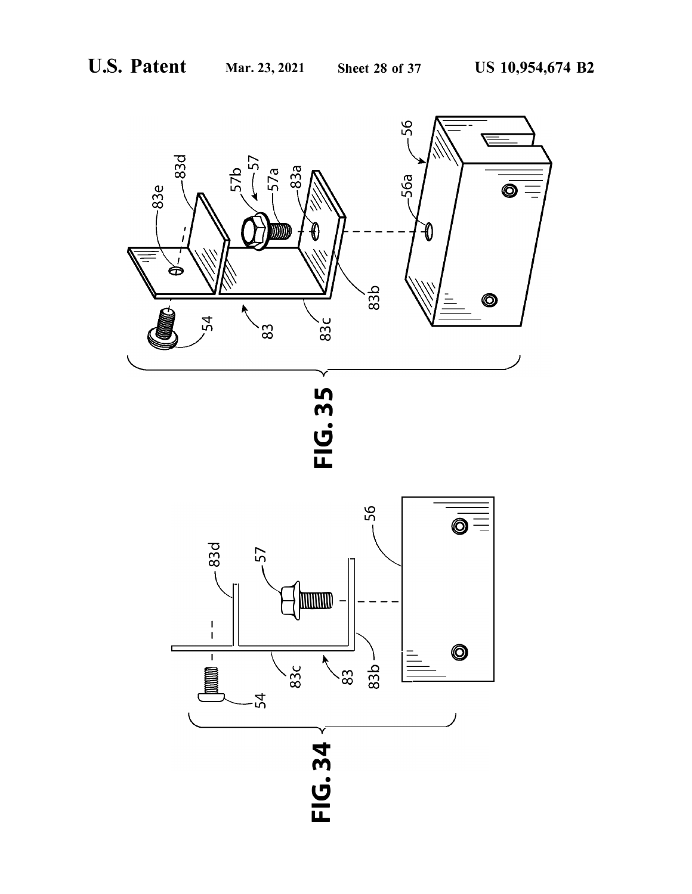![](_page_28_Figure_4.jpeg)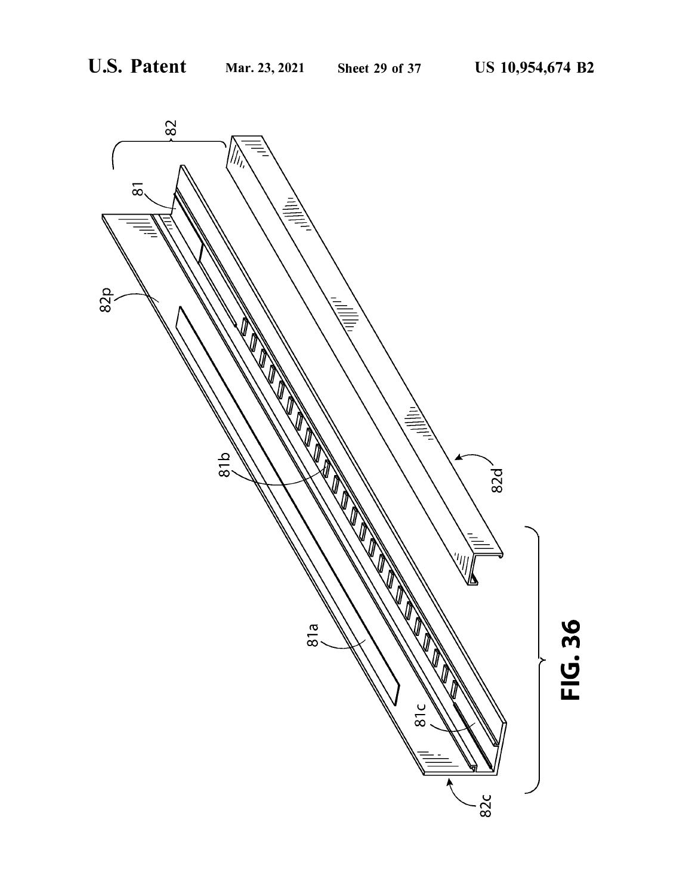![](_page_29_Figure_4.jpeg)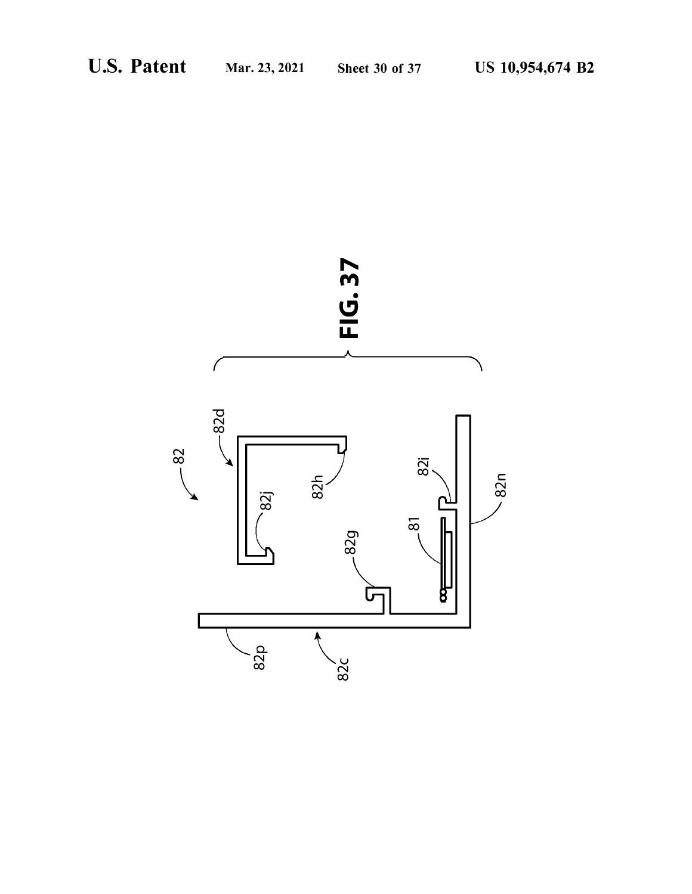![](_page_30_Figure_4.jpeg)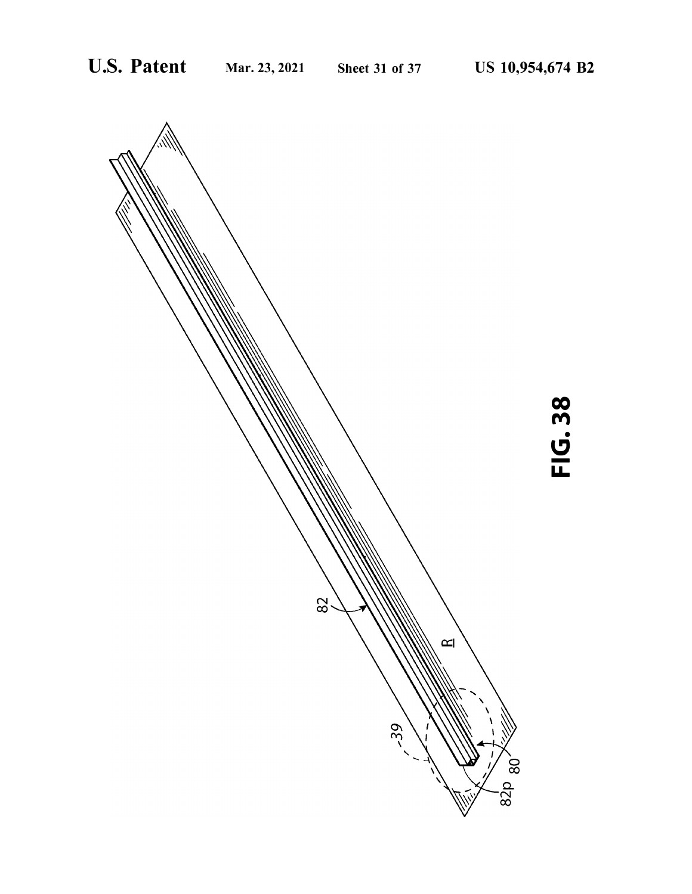![](_page_31_Figure_4.jpeg)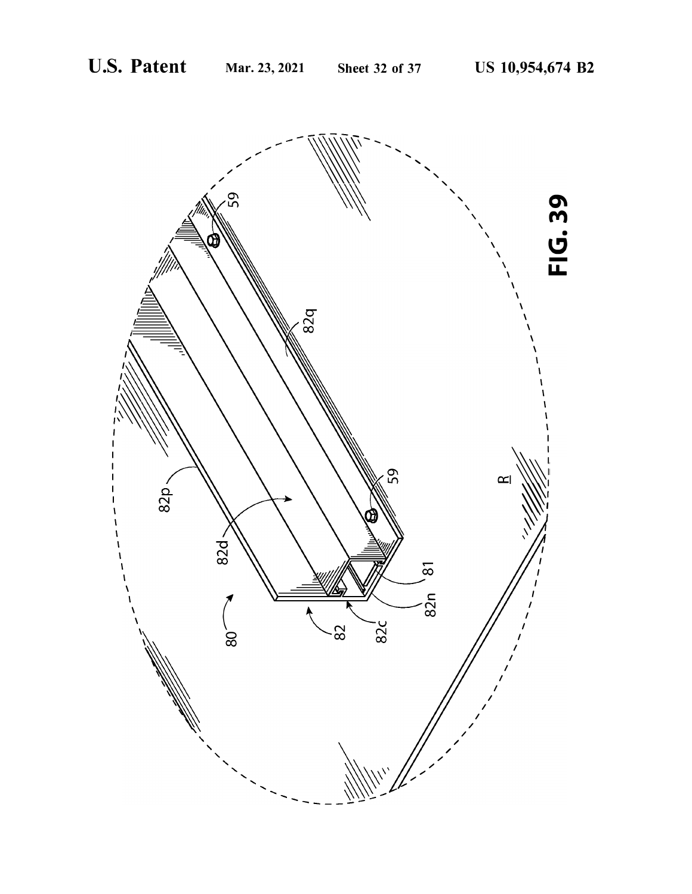![](_page_32_Picture_4.jpeg)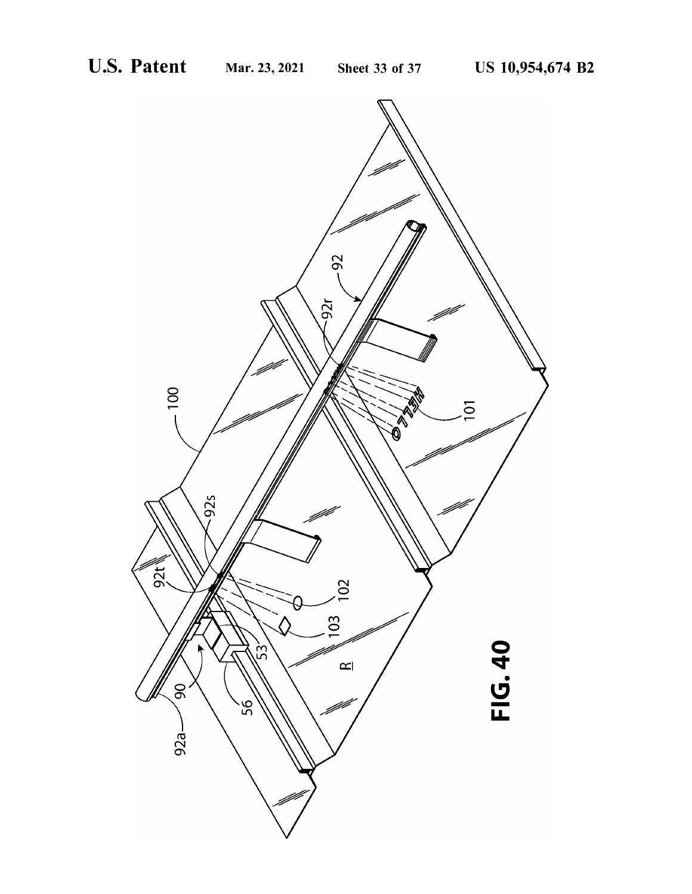![](_page_33_Picture_4.jpeg)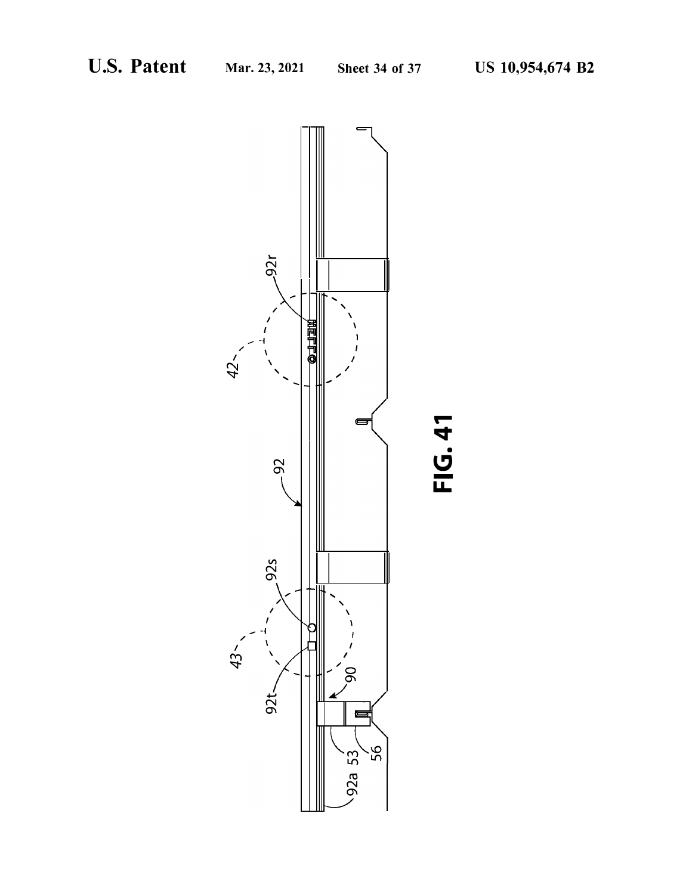![](_page_34_Figure_4.jpeg)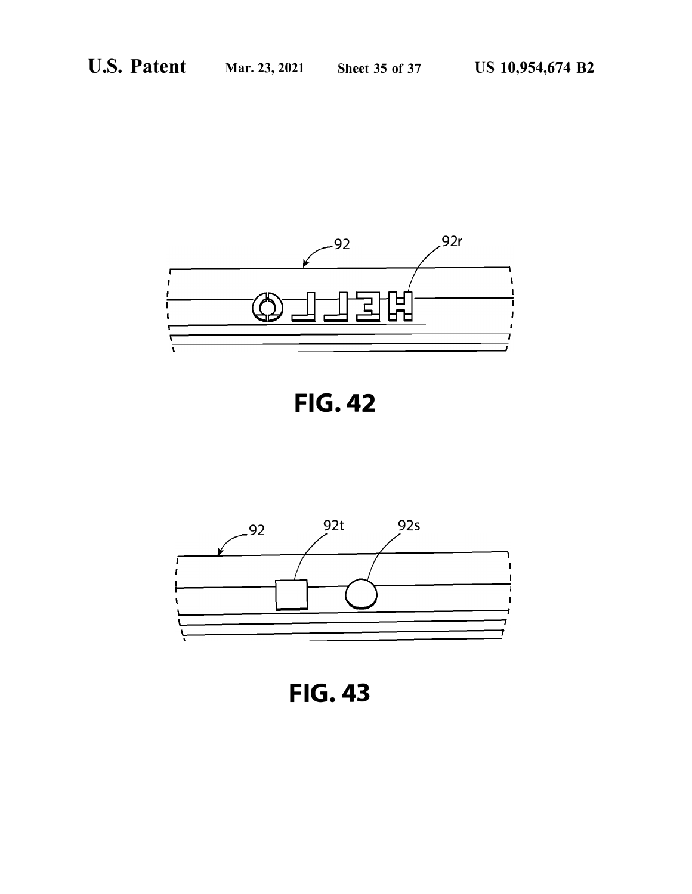![](_page_35_Figure_4.jpeg)

![](_page_35_Figure_5.jpeg)

![](_page_35_Figure_6.jpeg)

**FIG. 43**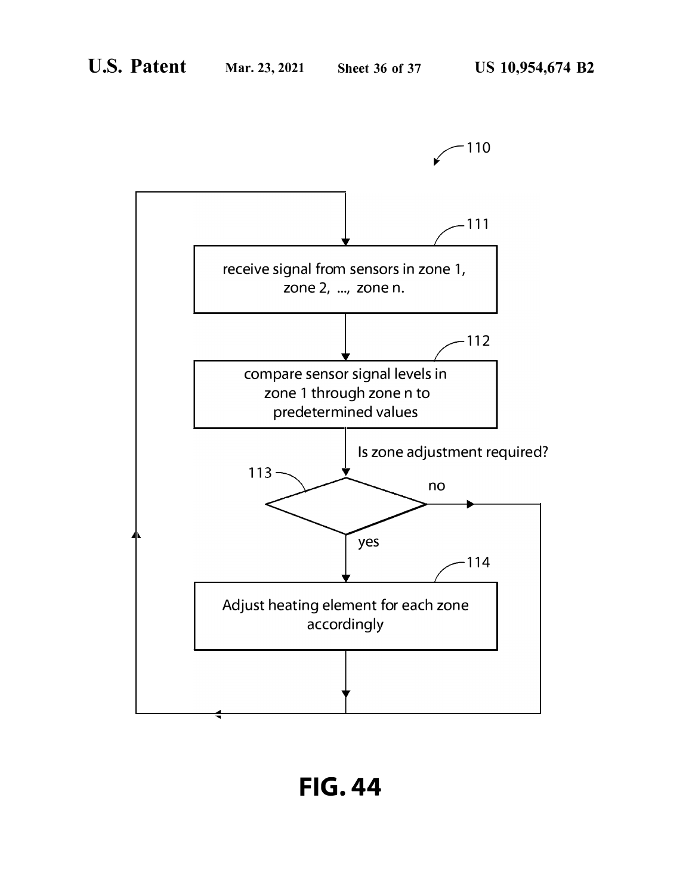![](_page_36_Figure_4.jpeg)

**FIG. 44**